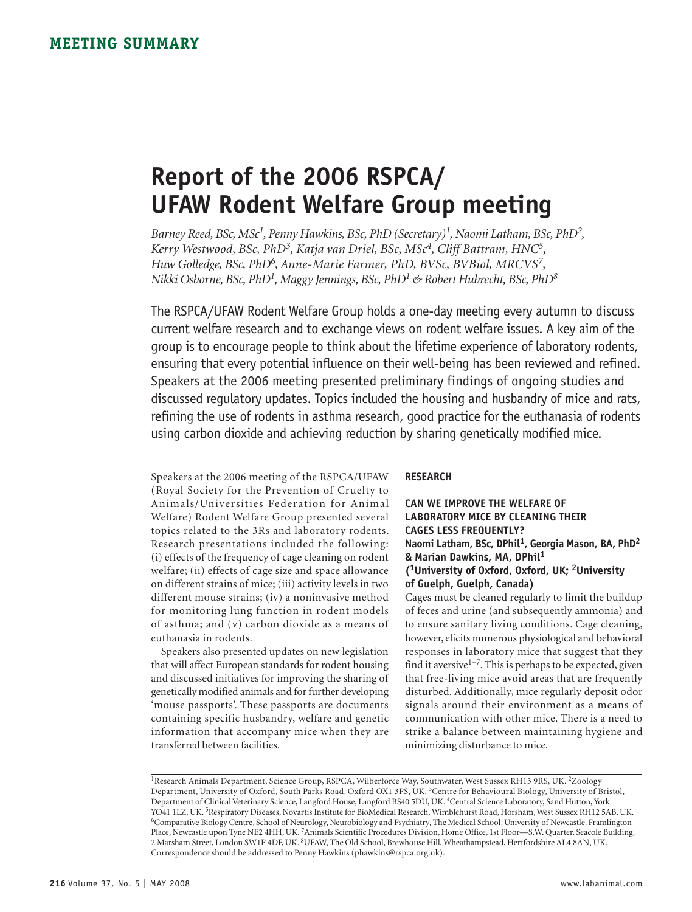# **Report of the 2006 RSPCA/ UFAW Rodent Welfare Group meeting**

*Barney Reed, BSc, MSc1, Penny Hawkins, BSc, PhD (Secretary)1, Naomi Latham, BSc, PhD2, Kerry Westwood, BSc, PhD3, Katja van Driel, BSc, MSc4, Cliff Battram, HNC5, Huw Golledge, BSc, PhD6, Anne-Marie Farmer, PhD, BVSc, BVBiol, MRCVS7, Nikki Osborne, BSc, PhD1, Maggy Jennings, BSc, PhD1 & Robert Hubrecht, BSc, PhD8*

The RSPCA/UFAW Rodent Welfare Group holds a one-day meeting every autumn to discuss current welfare research and to exchange views on rodent welfare issues. A key aim of the group is to encourage people to think about the lifetime experience of laboratory rodents, ensuring that every potential influence on their well-being has been reviewed and refined. Speakers at the 2006 meeting presented preliminary findings of ongoing studies and discussed regulatory updates. Topics included the housing and husbandry of mice and rats, refining the use of rodents in asthma research, good practice for the euthanasia of rodents using carbon dioxide and achieving reduction by sharing genetically modified mice.

Speakers at the 2006 meeting of the RSPCA/UFAW (Royal Society for the Prevention of Cruelty to Animals/Universities Federation for Animal Welfare) Rodent Welfare Group presented several topics related to the 3Rs and laboratory rodents. Research presentations included the following: (i) effects of the frequency of cage cleaning on rodent welfare; (ii) effects of cage size and space allowance on different strains of mice; (iii) activity levels in two different mouse strains; (iv) a noninvasive method for monitoring lung function in rodent models of asthma; and (v) carbon dioxide as a means of euthanasia in rodents.

Speakers also presented updates on new legislation that will affect European standards for rodent housing and discussed initiatives for improving the sharing of genetically modified animals and for further developing 'mouse passports'. These passports are documents containing specific husbandry, welfare and genetic information that accompany mice when they are transferred between facilities.

#### **RESEARCH**

**Can we improve the welfare of laboratory mice by cleaning their cages less frequently?** Naomi Latham, BSc, DPhil<sup>1</sup>, Georgia Mason, BA, PhD<sup>2</sup> **& Marian Dawkins, MA, DPhil<sup>1</sup> (1University of Oxford, Oxford, UK; 2University of Guelph, Guelph, Canada)**

Cages must be cleaned regularly to limit the buildup of feces and urine (and subsequently ammonia) and to ensure sanitary living conditions. Cage cleaning, however, elicits numerous physiological and behavioral responses in laboratory mice that suggest that they find it aversive $1-7$ . This is perhaps to be expected, given that free-living mice avoid areas that are frequently disturbed. Additionally, mice regularly deposit odor signals around their environment as a means of communication with other mice. There is a need to strike a balance between maintaining hygiene and minimizing disturbance to mice.

<sup>&</sup>lt;sup>1</sup>Research Animals Department, Science Group, RSPCA, Wilberforce Way, Southwater, West Sussex RH13 9RS, UK. <sup>2</sup>Zoology Department, University of Oxford, South Parks Road, Oxford OX1 3PS, UK. 3Centre for Behavioural Biology, University of Bristol, Department of Clinical Veterinary Science, Langford House, Langford BS40 5DU, UK. <sup>4</sup>Central Science Laboratory, Sand Hutton, York<br>YO41 1LZ, UK. <sup>5</sup>Respiratory Diseases, Novartis Institute for BioMedical Research, Wimblehu <sup>6</sup>Comparative Biology Centre, School of Neurology, Neurobiology and Psychiatry, The Medical School, University of Newcastle, Framlington Place, Newcastle upon Tyne NE2 4HH, UK. 7Animals Scientific Procedures Division, Home Office, 1st Floor—S.W. Quarter, Seacole Building, 2 Marsham Street, London SW1P 4DF, UK. 8UFAW, The Old School, Brewhouse Hill, Wheathampstead, Hertfordshire AL4 8AN, UK. Correspondence should be addressed to Penny Hawkins (phawkins@rspca.org.uk).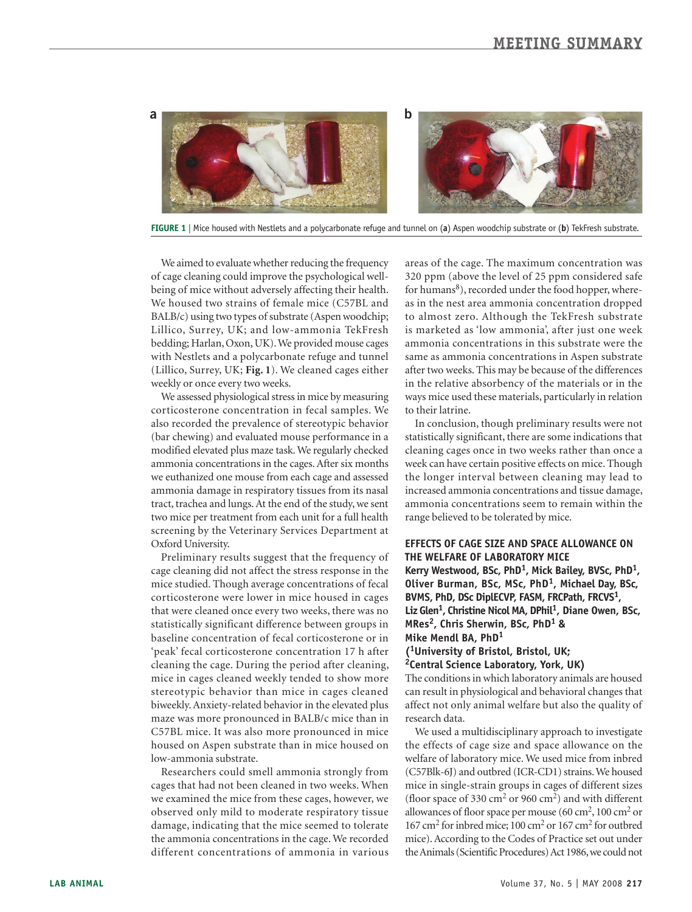

**FIGURE 1** | Mice housed with Nestlets and a polycarbonate refuge and tunnel on (**a**) Aspen woodchip substrate or (**b**) TekFresh substrate.

We aimed to evaluate whether reducing the frequency of cage cleaning could improve the psychological wellbeing of mice without adversely affecting their health. We housed two strains of female mice (C57BL and BALB/c) using two types of substrate (Aspen woodchip; Lillico, Surrey, UK; and low-ammonia TekFresh bedding; Harlan, Oxon, UK). We provided mouse cages with Nestlets and a polycarbonate refuge and tunnel (Lillico, Surrey, UK; **Fig. 1**). We cleaned cages either weekly or once every two weeks.

We assessed physiological stress in mice by measuring corticosterone concentration in fecal samples. We also recorded the prevalence of stereotypic behavior (bar chewing) and evaluated mouse performance in a modified elevated plus maze task. We regularly checked ammonia concentrations in the cages. After six months we euthanized one mouse from each cage and assessed ammonia damage in respiratory tissues from its nasal tract, trachea and lungs. At the end of the study, we sent two mice per treatment from each unit for a full health screening by the Veterinary Services Department at Oxford University.

Preliminary results suggest that the frequency of cage cleaning did not affect the stress response in the mice studied. Though average concentrations of fecal corticosterone were lower in mice housed in cages that were cleaned once every two weeks, there was no statistically significant difference between groups in baseline concentration of fecal corticosterone or in 'peak' fecal corticosterone concentration 17 h after cleaning the cage. During the period after cleaning, mice in cages cleaned weekly tended to show more stereotypic behavior than mice in cages cleaned biweekly. Anxiety-related behavior in the elevated plus maze was more pronounced in BALB/c mice than in C57BL mice. It was also more pronounced in mice housed on Aspen substrate than in mice housed on low-ammonia substrate.

Researchers could smell ammonia strongly from cages that had not been cleaned in two weeks. When we examined the mice from these cages, however, we observed only mild to moderate respiratory tissue damage, indicating that the mice seemed to tolerate the ammonia concentrations in the cage. We recorded different concentrations of ammonia in various areas of the cage. The maximum concentration was 320 ppm (above the level of 25 ppm considered safe for humans<sup>8</sup>), recorded under the food hopper, whereas in the nest area ammonia concentration dropped to almost zero. Although the TekFresh substrate is marketed as 'low ammonia', after just one week ammonia concentrations in this substrate were the same as ammonia concentrations in Aspen substrate after two weeks. This may be because of the differences in the relative absorbency of the materials or in the ways mice used these materials, particularly in relation to their latrine.

In conclusion, though preliminary results were not statistically significant, there are some indications that cleaning cages once in two weeks rather than once a week can have certain positive effects on mice. Though the longer interval between cleaning may lead to increased ammonia concentrations and tissue damage, ammonia concentrations seem to remain within the range believed to be tolerated by mice.

#### **Effects of cage size and space allowance on the welfare of laboratory mice**

**Kerry Westwood, BSc, PhD1, Mick Bailey, BVSc, PhD1, Oliver Burman, BSc, MSc, PhD1, Michael Day, BSc, BVMS, PhD, DSc DiplECVP, FASM, FRCPath, FRCVS1, Liz Glen1, Christine Nicol MA, DPhil1, Diane Owen, BSc, MRes2, Chris Sherwin, BSc, PhD1 & Mike Mendl BA, PhD<sup>1</sup>**

#### **(1University of Bristol, Bristol, UK; 2Central Science Laboratory, York, UK)**

The conditions in which laboratory animals are housed can result in physiological and behavioral changes that affect not only animal welfare but also the quality of research data.

We used a multidisciplinary approach to investigate the effects of cage size and space allowance on the welfare of laboratory mice. We used mice from inbred (C57Blk-6J) and outbred (ICR-CD1) strains. We housed mice in single-strain groups in cages of different sizes (floor space of 330 cm<sup>2</sup> or 960 cm<sup>2</sup>) and with different allowances of floor space per mouse (60 cm<sup>2</sup>, 100 cm<sup>2</sup> or 167 cm2 for inbred mice; 100 cm2 or 167 cm2 for outbred mice). According to the Codes of Practice set out under the Animals (Scientific Procedures) Act 1986, we could not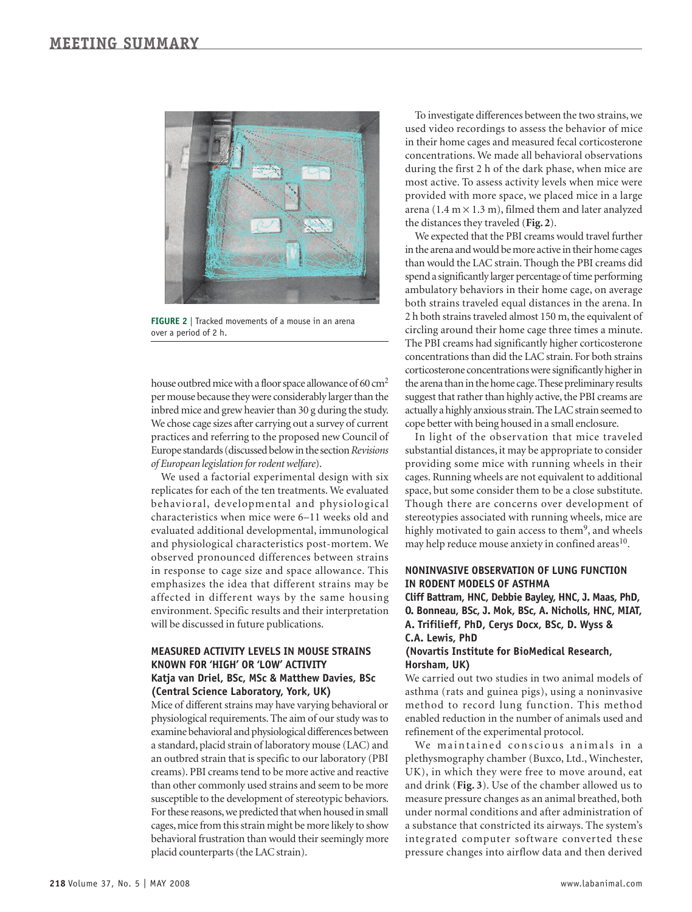

**FIGURE 2** | Tracked movements of a mouse in an arena over a period of 2 h.

house outbred mice with a floor space allowance of 60 cm<sup>2</sup> per mouse because they were considerably larger than the inbred mice and grew heavier than 30 g during the study. We chose cage sizes after carrying out a survey of current practices and referring to the proposed new Council of Europe standards (discussed below inthe section *Revisions*   $of European legislation$  for rodent welfare).

We used a factorial experimental design with six replicates for each of the ten treatments. We evaluated behavioral, developmental and physiological characteristics when mice were 6–11 weeks old and evaluated additional developmental, immunological and physiological characteristics post-mortem. We observed pronounced differences between strains in response to cage size and space allowance. This emphasizes the idea that different strains may be affected in different ways by the same housing environment. Specific results and their interpretation will be discussed in future publications.

### **Measured activity levels in mouse strains known for 'high' or 'low' activity Katja van Driel, BSc, MSc & Matthew Davies, BSc (Central Science Laboratory, York, UK)**

Mice of different strains may have varying behavioral or physiological requirements. The aim of our study was to examine behavioral and physiological differences between a standard, placid strain of laboratory mouse (LAC) and an outbred strain that is specific to our laboratory (PBI creams). PBI creams tend to be more active and reactive than other commonly used strains and seem to be more susceptible to the development of stereotypic behaviors. For these reasons, we predicted that when housed in small cages, mice from this strain might be more likely to show behavioral frustration than would their seemingly more placid counterparts (the LAC strain).

To investigate differences between the two strains, we used video recordings to assess the behavior of mice in their home cages and measured fecal corticosterone concentrations. We made all behavioral observations during the first 2 h of the dark phase, when mice are most active. To assess activity levels when mice were provided with more space, we placed mice in a large arena (1.4 m  $\times$  1.3 m), filmed them and later analyzed the distances they traveled (**Fig. 2**).

We expected that the PBI creams would travel further in the arena and would be more active in their home cages than would the LAC strain. Though the PBI creams did spend a significantly larger percentage of time performing ambulatory behaviors in their home cage, on average both strains traveled equal distances in the arena. In 2 h both strains traveled almost 150 m, the equivalent of circling around their home cage three times a minute. The PBI creams had significantly higher corticosterone concentrations than did the LAC strain. For both strains corticosterone concentrations were significantly higher in the arena than in the home cage. These preliminary results suggest that rather than highly active, the PBI creams are actually a highly anxious strain. The LAC strain seemed to cope better with being housed in a small enclosure.

In light of the observation that mice traveled substantial distances, it may be appropriate to consider providing some mice with running wheels in their cages. Running wheels are not equivalent to additional space, but some consider them to be a close substitute. Though there are concerns over development of stereotypies associated with running wheels, mice are highly motivated to gain access to them<sup>9</sup>, and wheels may help reduce mouse anxiety in confined areas<sup>10</sup>.

#### **Noninvasive observation of lung function in rodent models of asthma**

**Cliff Battram, HNC, Debbie Bayley, HNC, J. Maas, PhD, O. Bonneau, BSc, J. Mok, BSc, A. Nicholls, HNC, MIAT, A. Trifilieff, PhD, Cerys Docx, BSc, D. Wyss & C.A. Lewis, PhD**

#### **(Novartis Institute for BioMedical Research, Horsham, UK)**

We carried out two studies in two animal models of asthma (rats and guinea pigs), using a noninvasive method to record lung function. This method enabled reduction in the number of animals used and refinement of the experimental protocol.

We maintained conscious animals in a plethysmography chamber (Buxco, Ltd., Winchester, UK), in which they were free to move around, eat and drink (**Fig. 3**). Use of the chamber allowed us to measure pressure changes as an animal breathed, both under normal conditions and after administration of a substance that constricted its airways. The system's integrated computer software converted these pressure changes into airflow data and then derived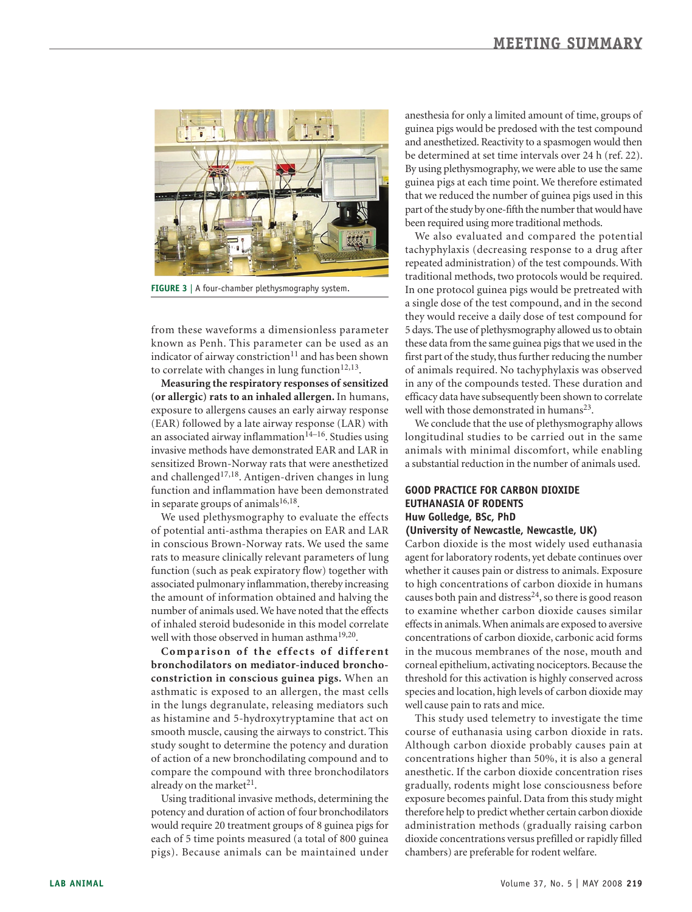

**FIGURE 3** | A four-chamber plethysmography system.

from these waveforms a dimensionless parameter known as Penh. This parameter can be used as an indicator of airway constriction $11$  and has been shown to correlate with changes in lung function $12,13$ .

**Measuring the respiratory responses of sensitized (or allergic) rats to an inhaled allergen.** In humans, exposure to allergens causes an early airway response (EAR) followed by a late airway response (LAR) with an associated airway inflammation<sup>14–16</sup>. Studies using invasive methods have demonstrated EAR and LAR in sensitized Brown-Norway rats that were anesthetized and challenged<sup>17,18</sup>. Antigen-driven changes in lung function and inflammation have been demonstrated in separate groups of animals<sup>16,18</sup>.

We used plethysmography to evaluate the effects of potential anti-asthma therapies on EAR and LAR in conscious Brown-Norway rats. We used the same rats to measure clinically relevant parameters of lung function (such as peak expiratory flow) together with associated pulmonary inflammation, thereby increasing the amount of information obtained and halving the number of animals used. We have noted that the effects of inhaled steroid budesonide in this model correlate well with those observed in human asthma<sup>19,20</sup>.

Comparison of the effects of different **bronchodilators on mediator-induced bronchoconstriction in conscious guinea pigs.** When an asthmatic is exposed to an allergen, the mast cells in the lungs degranulate, releasing mediators such as histamine and 5-hydroxytryptamine that act on smooth muscle, causing the airways to constrict. This study sought to determine the potency and duration of action of a new bronchodilating compound and to compare the compound with three bronchodilators already on the market $21$ .

Using traditional invasive methods, determining the potency and duration of action of four bronchodilators would require 20 treatment groups of 8 guinea pigs for each of 5 time points measured (a total of 800 guinea pigs). Because animals can be maintained under

anesthesia for only a limited amount of time, groups of guinea pigs would be predosed with the test compound and anesthetized. Reactivity to a spasmogen would then be determined at set time intervals over 24 h (ref. 22). By using plethysmography, we were able to use the same guinea pigs at each time point. We therefore estimated that we reduced the number of guinea pigs used in this part of the study by one-fifth the number that would have been required using more traditional methods.

We also evaluated and compared the potential tachyphylaxis (decreasing response to a drug after repeated administration) of the test compounds. With traditional methods, two protocols would be required. In one protocol guinea pigs would be pretreated with a single dose of the test compound, and in the second they would receive a daily dose of test compound for 5 days. The use of plethysmography allowed us to obtain these data from the same guinea pigs that we used in the first part of the study, thus further reducing the number of animals required. No tachyphylaxis was observed in any of the compounds tested. These duration and efficacy data have subsequently been shown to correlate well with those demonstrated in humans<sup>23</sup>.

We conclude that the use of plethysmography allows longitudinal studies to be carried out in the same animals with minimal discomfort, while enabling a substantial reduction in the number of animals used.

### **Good practice for carbon dioxide euthanasia of rodents Huw Golledge, BSc, PhD (University of Newcastle, Newcastle, UK)**

Carbon dioxide is the most widely used euthanasia agent for laboratory rodents, yet debate continues over whether it causes pain or distress to animals. Exposure to high concentrations of carbon dioxide in humans causes both pain and distress<sup>24</sup>, so there is good reason to examine whether carbon dioxide causes similar effects in animals. When animals are exposed to aversive concentrations of carbon dioxide, carbonic acid forms in the mucous membranes of the nose, mouth and corneal epithelium, activating nociceptors. Because the threshold for this activation is highly conserved across species and location, high levels of carbon dioxide may well cause pain to rats and mice.

This study used telemetry to investigate the time course of euthanasia using carbon dioxide in rats. Although carbon dioxide probably causes pain at concentrations higher than 50%, it is also a general anesthetic. If the carbon dioxide concentration rises gradually, rodents might lose consciousness before exposure becomes painful. Data from this study might therefore help to predict whether certain carbon dioxide administration methods (gradually raising carbon dioxide concentrations versus prefilled or rapidly filled chambers) are preferable for rodent welfare.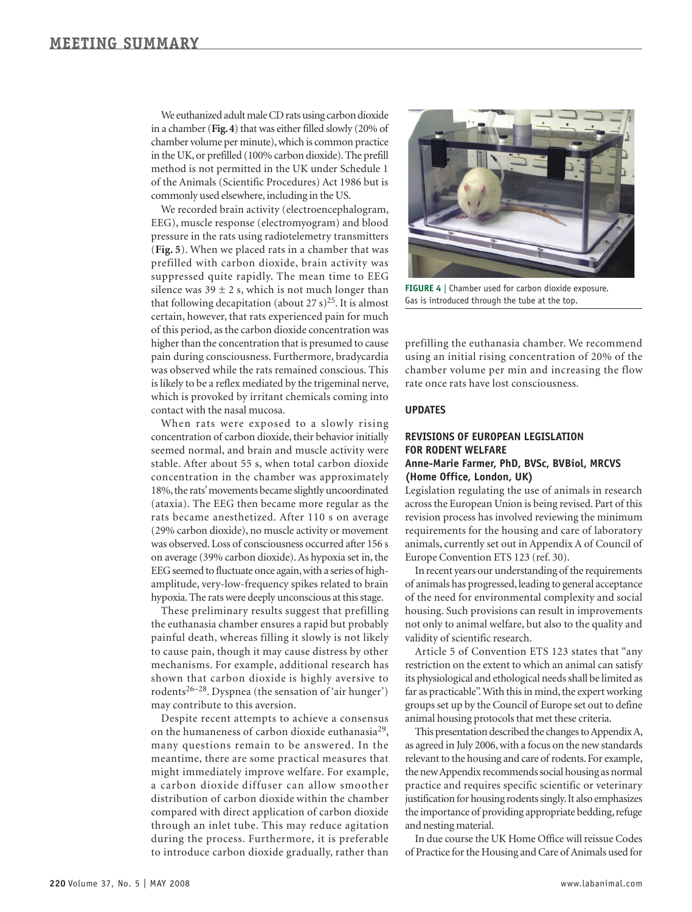We euthanized adult male CD rats using carbon dioxide in a chamber (**Fig. 4**) that was either filled slowly (20% of chamber volume per minute), which is common practice in the UK, or prefilled (100% carbon dioxide). The prefill method is not permitted in the UK under Schedule 1 of the Animals (Scientific Procedures) Act 1986 but is commonly used elsewhere, including in the US.

We recorded brain activity (electroencephalogram, EEG), muscle response (electromyogram) and blood pressure in the rats using radiotelemetry transmitters (**Fig. 5**). When we placed rats in a chamber that was prefilled with carbon dioxide, brain activity was suppressed quite rapidly. The mean time to EEG silence was  $39 \pm 2$  s, which is not much longer than that following decapitation (about 27 s)<sup>25</sup>. It is almost certain, however, that rats experienced pain for much of this period, as the carbon dioxide concentration was higher than the concentration that is presumed to cause pain during consciousness. Furthermore, bradycardia was observed while the rats remained conscious. This is likely to be a reflex mediated by the trigeminal nerve, which is provoked by irritant chemicals coming into contact with the nasal mucosa.

When rats were exposed to a slowly rising concentration of carbon dioxide, their behavior initially seemed normal, and brain and muscle activity were stable. After about 55 s, when total carbon dioxide concentration in the chamber was approximately 18%, the rats' movements became slightly uncoordinated (ataxia). The EEG then became more regular as the rats became anesthetized. After 110 s on average (29% carbon dioxide), no muscle activity or movement was observed. Loss of consciousness occurred after 156 s on average (39% carbon dioxide). As hypoxia set in, the EEG seemed to fluctuate once again, with a series of highamplitude, very-low-frequency spikes related to brain hypoxia. The rats were deeply unconscious at this stage.

These preliminary results suggest that prefilling the euthanasia chamber ensures a rapid but probably painful death, whereas filling it slowly is not likely to cause pain, though it may cause distress by other mechanisms. For example, additional research has shown that carbon dioxide is highly aversive to rodents<sup>26–28</sup>. Dyspnea (the sensation of 'air hunger') may contribute to this aversion.

Despite recent attempts to achieve a consensus on the humaneness of carbon dioxide euthanasia29, many questions remain to be answered. In the meantime, there are some practical measures that might immediately improve welfare. For example, a carbon dioxide diffuser can allow smoother distribution of carbon dioxide within the chamber compared with direct application of carbon dioxide through an inlet tube. This may reduce agitation during the process. Furthermore, it is preferable to introduce carbon dioxide gradually, rather than



**FIGURE 4** | Chamber used for carbon dioxide exposure. Gas is introduced through the tube at the top.

prefilling the euthanasia chamber. We recommend using an initial rising concentration of 20% of the chamber volume per min and increasing the flow rate once rats have lost consciousness.

#### **UPDATES**

#### **Revisions of European legislation for rodent welfare Anne-Marie Farmer, PhD, BVSc, BVBiol, MRCVS (Home Office, London, UK)**

Legislation regulating the use of animals in research across the European Union is being revised. Part of this revision process has involved reviewing the minimum requirements for the housing and care of laboratory animals, currently set out in Appendix A of Council of Europe Convention ETS 123 (ref. 30).

In recent years our understanding of the requirements of animals has progressed, leading to general acceptance of the need for environmental complexity and social housing. Such provisions can result in improvements not only to animal welfare, but also to the quality and validity of scientific research.

Article 5 of Convention ETS 123 states that "any restriction on the extent to which an animal can satisfy its physiological and ethological needs shall be limited as far as practicable". With this in mind, the expert working groups set up by the Council of Europe set out to define animal housing protocols that met these criteria.

This presentation described the changes to Appendix A, as agreed in July 2006, with a focus on the new standards relevant to the housing and care of rodents. For example, the new Appendix recommends social housing as normal practice and requires specific scientific or veterinary justification for housing rodents singly. It also emphasizes the importance of providing appropriate bedding, refuge and nesting material.

In due course the UK Home Office will reissue Codes of Practice for the Housing and Care of Animals used for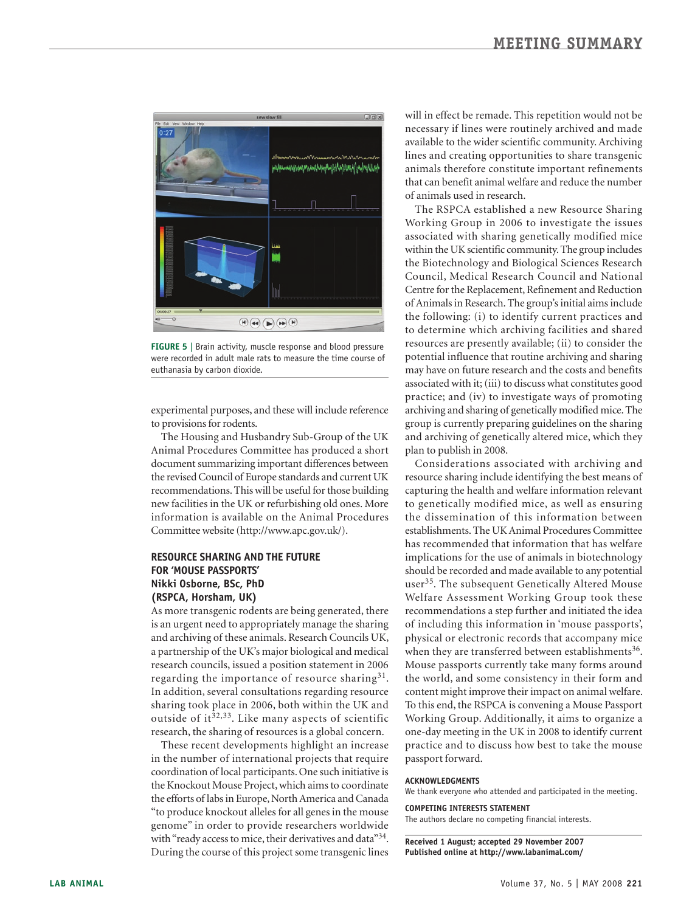

**FIGURE 5** | Brain activity, muscle response and blood pressure were recorded in adult male rats to measure the time course of euthanasia by carbon dioxide.

experimental purposes, and these will include reference to provisions for rodents.

The Housing and Husbandry Sub-Group of the UK Animal Procedures Committee has produced a short document summarizing important differences between the revised Council of Europe standards and current UK recommendations. This will be useful for those building new facilities in the UK or refurbishing old ones. More information is available on the Animal Procedures Committee website (http://www.apc.gov.uk/).

## **Resource sharing and the future for 'mouse passports' Nikki Osborne, BSc, PhD (RSPCA, Horsham, UK)**

As more transgenic rodents are being generated, there is an urgent need to appropriately manage the sharing and archiving of these animals. Research Councils UK, a partnership of the UK's major biological and medical research councils, issued a position statement in 2006 regarding the importance of resource sharing $31$ . In addition, several consultations regarding resource sharing took place in 2006, both within the UK and outside of it<sup> $32,33$ </sup>. Like many aspects of scientific research, the sharing of resources is a global concern.

These recent developments highlight an increase in the number of international projects that require coordination of local participants. One such initiative is the Knockout Mouse Project, which aims to coordinate the efforts of labs in Europe, North America and Canada "to produce knockout alleles for all genes in the mouse genome" in order to provide researchers worldwide with "ready access to mice, their derivatives and data"<sup>34</sup>. During the course of this project some transgenic lines

will in effect be remade. This repetition would not be necessary if lines were routinely archived and made available to the wider scientific community. Archiving lines and creating opportunities to share transgenic animals therefore constitute important refinements that can benefit animal welfare and reduce the number of animals used in research.

The RSPCA established a new Resource Sharing Working Group in 2006 to investigate the issues associated with sharing genetically modified mice within the UK scientific community. The group includes the Biotechnology and Biological Sciences Research Council, Medical Research Council and National Centre for the Replacement, Refinement and Reduction of Animals in Research. The group's initial aims include the following: (i) to identify current practices and to determine which archiving facilities and shared resources are presently available; (ii) to consider the potential influence that routine archiving and sharing may have on future research and the costs and benefits associated with it; (iii) to discuss what constitutes good practice; and (iv) to investigate ways of promoting archiving and sharing of genetically modified mice. The group is currently preparing guidelines on the sharing and archiving of genetically altered mice, which they plan to publish in 2008.

Considerations associated with archiving and resource sharing include identifying the best means of capturing the health and welfare information relevant to genetically modified mice, as well as ensuring the dissemination of this information between establishments. The UK Animal Procedures Committee has recommended that information that has welfare implications for the use of animals in biotechnology should be recorded and made available to any potential user<sup>35</sup>. The subsequent Genetically Altered Mouse Welfare Assessment Working Group took these recommendations a step further and initiated the idea of including this information in 'mouse passports', physical or electronic records that accompany mice when they are transferred between establishments<sup>36</sup>. Mouse passports currently take many forms around the world, and some consistency in their form and content might improve their impact on animal welfare. To this end, the RSPCA is convening a Mouse Passport Working Group. Additionally, it aims to organize a one-day meeting in the UK in 2008 to identify current practice and to discuss how best to take the mouse passport forward.

#### **ACKNOWLEDGMENTS**

We thank everyone who attended and participated in the meeting.

**COMPETING INTERESTS STATEMENT** The authors declare no competing financial interests.

**Received 1 August; accepted 29 November 2007 Published online at http://www.labanimal.com/**